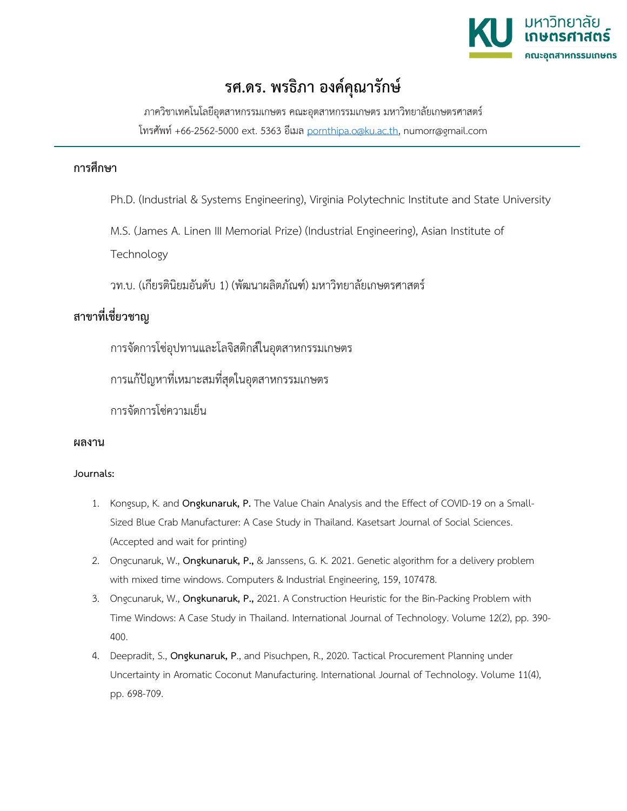

# **รศ.ดร. พรธิภา องค์คุณารักษ์**

ภาควิชาเทคโนโลยีอุตสาหกรรมเกษตร คณะอุตสาหกรรมเกษตร มหาวิทยาลัยเกษตรศาสตร์ โทรศัพท์ +66-2562-5000 ext. 5363 อีเมล [pornthipa.o@ku.ac.th,](mailto:pornthipa.o@ku.ac.th) numorr@gmail.com

### **การศึกษา**

Ph.D. (Industrial & Systems Engineering), Virginia Polytechnic Institute and State University

M.S. (James A. Linen III Memorial Prize) (Industrial Engineering), Asian Institute of

**Technology** 

วท.บ. (เกียรตินิยมอันดับ 1) (พัฒนาผลิตภัณฑ์) มหาวิทยาลัยเกษตรศาสตร์

## **สาขาที่เชี่ยวชาญ**

การจัดการโซ่อุปทานและโลจิสติกส์ในอุตสาหกรรมเกษตร

การแก้ปัญหาที่เหมาะสมที่สุดในอุตสาหกรรมเกษตร

การจัดการโซ่ความเย็น

#### **ผลงาน**

#### **Journals:**

- 1. Kongsup, K. and **Ongkunaruk, P.** The Value Chain Analysis and the Effect of COVID-19 on a Small-Sized Blue Crab Manufacturer: A Case Study in Thailand. Kasetsart Journal of Social Sciences. (Accepted and wait for printing)
- 2. Ongcunaruk, W., **Ongkunaruk, P.,** & Janssens, G. K. 2021. Genetic algorithm for a delivery problem with mixed time windows. Computers & Industrial Engineering, 159, 107478.
- 3. Ongcunaruk, W., **Ongkunaruk, P.,** 2021. A Construction Heuristic for the Bin-Packing Problem with Time Windows: A Case Study in Thailand. International Journal of Technology. Volume 12(2), pp. 390- 400.
- 4. Deepradit, S., **Ongkunaruk, P**., and Pisuchpen, R., 2020. Tactical Procurement Planning under Uncertainty in Aromatic Coconut Manufacturing. International Journal of Technology. Volume 11(4), pp. 698-709.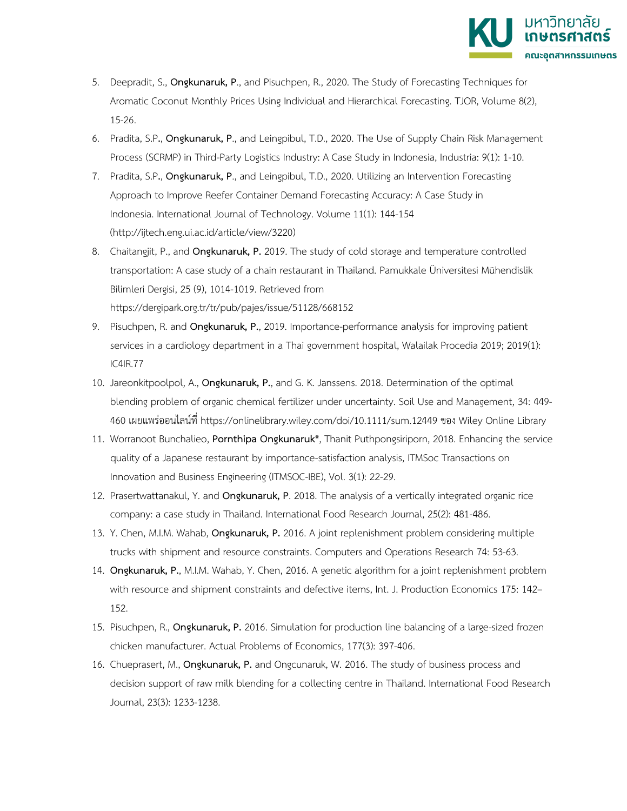

- 5. Deepradit, S., **Ongkunaruk, P**., and Pisuchpen, R., 2020. The Study of Forecasting Techniques for Aromatic Coconut Monthly Prices Using Individual and Hierarchical Forecasting. TJOR, Volume 8(2), 15-26.
- 6. Pradita, S.P**.**, **Ongkunaruk, P**., and Leingpibul, T.D., 2020. The Use of Supply Chain Risk Management Process (SCRMP) in Third-Party Logistics Industry: A Case Study in Indonesia, Industria: 9(1): 1-10.
- 7. Pradita, S.P**.**, **Ongkunaruk, P**., and Leingpibul, T.D., 2020. Utilizing an Intervention Forecasting Approach to Improve Reefer Container Demand Forecasting Accuracy: A Case Study in Indonesia. International Journal of Technology. Volume 11(1): 144-154 [\(http://ijtech.eng.ui.ac.id/article/view/3220\)](http://ijtech.eng.ui.ac.id/article/view/3220)
- 8. Chaitangjit, P., and **Ongkunaruk, P.** 2019. The study of cold storage and temperature controlled transportation: A case study of a chain restaurant in Thailand. Pamukkale Üniversitesi Mühendislik Bilimleri Dergisi, 25 (9), 1014-1019. Retrieved from <https://dergipark.org.tr/tr/pub/pajes/issue/51128/668152>
- 9. Pisuchpen, R. and **Ongkunaruk, P.**, 2019. Importance-performance analysis for improving patient services in a cardiology department in a Thai government hospital, Walailak Procedia 2019; 2019(1): IC4IR.77
- 10. Jareonkitpoolpol, A., **Ongkunaruk, P.**, and G. K. Janssens. 2018. Determination of the optimal blending problem of organic chemical fertilizer under uncertainty. Soil Use and Management, 34: 449- 460 เผยแพร่ออนไลน์ที่https://onlinelibrary.wiley.com/doi/10.1111/sum.12449 ของ Wiley Online Library
- 11. Worranoot Bunchalieo, **Pornthipa Ongkunaruk**\*, Thanit Puthpongsiriporn, 2018. Enhancing the service quality of a Japanese restaurant by importance-satisfaction analysis, ITMSoc Transactions on Innovation and Business Engineering (ITMSOC-IBE), Vol. 3(1): 22-29.
- 12. Prasertwattanakul, Y. and **Ongkunaruk, P**. 2018. The analysis of a vertically integrated organic rice company: a case study in Thailand. International Food Research Journal, 25(2): 481-486.
- 13. Y. Chen, M.I.M. Wahab, **Ongkunaruk, P.** 2016. A joint replenishment problem considering multiple trucks with shipment and resource constraints. Computers and Operations Research 74: 53-63.
- 14. **Ongkunaruk, P.**, M.I.M. Wahab, Y. Chen, 2016. A genetic algorithm for a joint replenishment problem with resource and shipment constraints and defective items, Int. J. Production Economics 175: 142– 152.
- 15. Pisuchpen, R., **Ongkunaruk, P.** 2016. Simulation for production line balancing of a large-sized frozen chicken manufacturer. Actual Problems of Economics, 177(3): 397-406.
- 16. Chueprasert, M., **Ongkunaruk, P.** and Ongcunaruk, W. 2016. The study of business process and decision support of raw milk blending for a collecting centre in Thailand. International Food Research Journal, 23(3): 1233-1238.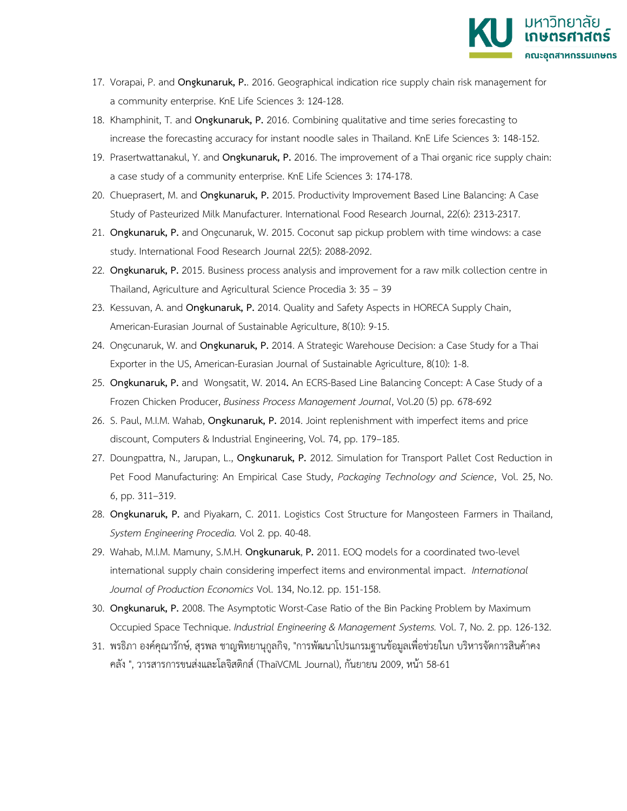

- 17. Vorapai, P. and **Ongkunaruk, P.**. 2016. Geographical indication rice supply chain risk management for a community enterprise. KnE Life Sciences 3: 124-128.
- 18. Khamphinit, T. and **Ongkunaruk, P.** 2016. Combining qualitative and time series forecasting to increase the forecasting accuracy for instant noodle sales in Thailand. KnE Life Sciences 3: 148-152.
- 19. Prasertwattanakul, Y. and **Ongkunaruk, P.** 2016. The improvement of a Thai organic rice supply chain: a case study of a community enterprise. KnE Life Sciences 3: 174-178.
- 20. Chueprasert, M. and **Ongkunaruk, P.** 2015. Productivity Improvement Based Line Balancing: A Case Study of Pasteurized Milk Manufacturer. International Food Research Journal, 22(6): 2313-2317.
- 21. **Ongkunaruk, P.** and Ongcunaruk, W. 2015. Coconut sap pickup problem with time windows: a case study. International Food Research Journal 22(5): 2088-2092.
- 22. **Ongkunaruk, P.** 2015. Business process analysis and improvement for a raw milk collection centre in Thailand, Agriculture and Agricultural Science Procedia 3: 35 – 39
- 23. Kessuvan, A. and **Ongkunaruk, P.** 2014. Quality and Safety Aspects in HORECA Supply Chain, American-Eurasian Journal of Sustainable Agriculture, 8(10): 9-15.
- 24. Ongcunaruk, W. and **Ongkunaruk, P.** 2014. A Strategic Warehouse Decision: a Case Study for a Thai Exporter in the US, American-Eurasian Journal of Sustainable Agriculture, 8(10): 1-8.
- 25. **Ongkunaruk, P.** and Wongsatit, W. 2014**.** [An ECRS-Based Line Balancing Concept: A Case Study of a](http://www.emeraldinsight.com/journals.htm?issn=1463-7154&volume=20&issue=5&articleid=17114631&show=pdf&PHPSESSID=106rm2qg36mds86pau10j240k2)  [Frozen Chicken](http://www.emeraldinsight.com/journals.htm?issn=1463-7154&volume=20&issue=5&articleid=17114631&show=pdf&PHPSESSID=106rm2qg36mds86pau10j240k2) Producer, *Business Process Management Journal*, Vol.20 (5) pp. 678-692
- 26. S. Paul, M.I.M. Wahab, **Ongkunaruk, P.** 2014. Joint replenishment with imperfect items and price discount, Computers & Industrial Engineering, Vol. 74, pp. 179–185.
- 27. Doungpattra, N., Jarupan, L., **Ongkunaruk, P.** 2012. Simulation for Transport Pallet Cost Reduction in Pet Food Manufacturing: An Empirical Case Study, *Packaging Technology and Science*, [Vol. 25,](http://onlinelibrary.wiley.com/doi/10.1002/pts.v25.6/issuetoc) No. [6,](http://onlinelibrary.wiley.com/doi/10.1002/pts.v25.6/issuetoc) pp. 311–319.
- 28. **Ongkunaruk, P.** and Piyakarn, C. 2011. Logistics Cost Structure for Mangosteen Farmers in Thailand, *System Engineering Procedia.* Vol 2. pp. 40-48.
- 29. Wahab, M.I.M. Mamuny, S.M.H. **Ongkunaruk**, **P.** 2011. EOQ models for a coordinated two-level international supply chain considering imperfect items and environmental impact. *International Journal of Production Economics* Vol. 134, No.12. pp. 151-158.
- 30. **Ongkunaruk, P.** 2008. The Asymptotic Worst-Case Ratio of the Bin Packing Problem by Maximum Occupied Space Technique. *Industrial Engineering & Management Systems.* Vol. 7, No. 2. pp. 126-132.
- 31. พรธิภา องค์คุณารักษ์, สุรพล ชาญพิทยานุกูลกิจ, "การพัฒนาโปรแกรมฐานข้อมูลเพื่อช่วยในก บริหารจัดการสินค้าคง คลัง ", วารสารการขนส่งและโลจิสติกส์ (ThaiVCML Journal), กันยายน 2009, หน้า 58-61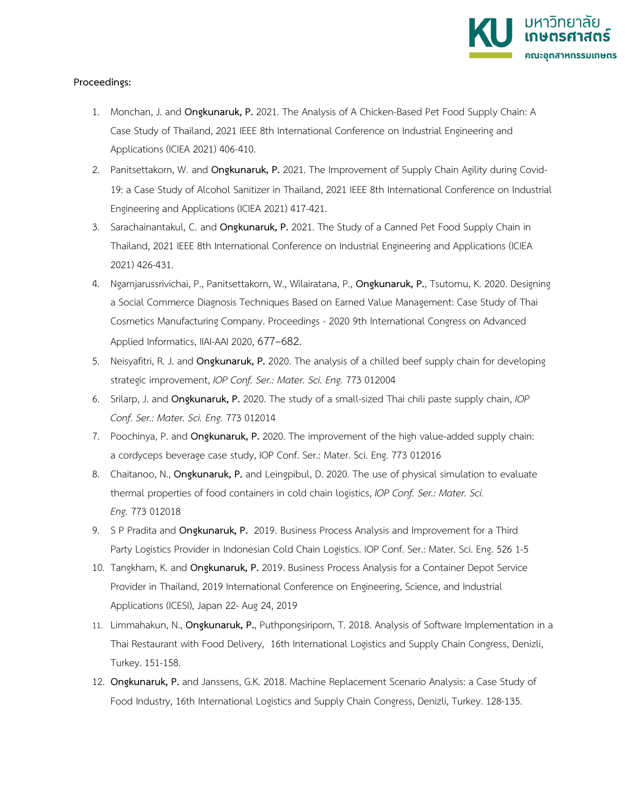

#### **Proceedings:**

- 1. Monchan, J. and **Ongkunaruk, P.** 2021. The Analysis of A Chicken-Based Pet Food Supply Chain: A Case Study of Thailand, 2021 IEEE 8th International Conference on Industrial Engineering and Applications (ICIEA 2021) 406-410.
- 2. Panitsettakorn, W. and **Ongkunaruk, P.** 2021. The Improvement of Supply Chain Agility during Covid-19: a Case Study of Alcohol Sanitizer in Thailand, 2021 IEEE 8th International Conference on Industrial Engineering and Applications (ICIEA 2021) 417-421.
- 3. Sarachainantakul, C. and **Ongkunaruk, P.** 2021. The Study of a Canned Pet Food Supply Chain in Thailand, 2021 IEEE 8th International Conference on Industrial Engineering and Applications (ICIEA 2021) 426-431.
- 4. Ngamjarussrivichai, P., Panitsettakorn, W., Wilairatana, P., **Ongkunaruk, P.**, Tsutomu, K. 2020. Designing a Social Commerce Diagnosis Techniques Based on Earned Value Management: Case Study of Thai Cosmetics Manufacturing Company. Proceedings - 2020 9th International Congress on Advanced Applied Informatics, IIAI-AAI 2020, 677–682.
- 5. Neisyafitri, R. J. and **Ongkunaruk, P.** 2020. The analysis of a chilled beef supply chain for developing strategic improvement, *IOP Conf. Ser.: Mater. Sci. Eng.* 773 012004
- 6. Srilarp, J. and **Ongkunaruk, P.** 2020. The study of a small-sized Thai chili paste supply chain, *IOP Conf. Ser.: Mater. Sci. Eng.* 773 012014
- 7. Poochinya, P. and **Ongkunaruk, P.** 2020. The improvement of the high value-added supply chain: a cordyceps beverage case study, IOP Conf. Ser.: Mater. Sci. Eng. 773 012016
- 8. Chaitanoo, N., **Ongkunaruk, P.** and Leingpibul, D. 2020. The use of physical simulation to evaluate thermal properties of food containers in cold chain logistics, *IOP Conf. Ser.: Mater. Sci. Eng.* 773 012018
- 9. S P Pradita and **Ongkunaruk, P.** 2019. Business Process Analysis and Improvement for a Third Party Logistics Provider in Indonesian Cold Chain Logistics. IOP Conf. Ser.: Mater. Sci. Eng. 526 1-5
- 10. Tangkham, K. and **Ongkunaruk, P.** 2019. Business Process Analysis for a Container Depot Service Provider in Thailand, 2019 International Conference on Engineering, Science, and Industrial Applications (ICESI), Japan 22- Aug 24, 2019
- 11. Limmahakun, N., **Ongkunaruk, P.**, Puthpongsiriporn, T. 2018. Analysis of Software Implementation in a Thai Restaurant with Food Delivery, 16th International Logistics and Supply Chain Congress, Denizli, Turkey. 151-158.
- 12. **Ongkunaruk, P.** and Janssens, G.K. 2018. Machine Replacement Scenario Analysis: a Case Study of Food Industry, 16th International Logistics and Supply Chain Congress, Denizli, Turkey. 128-135.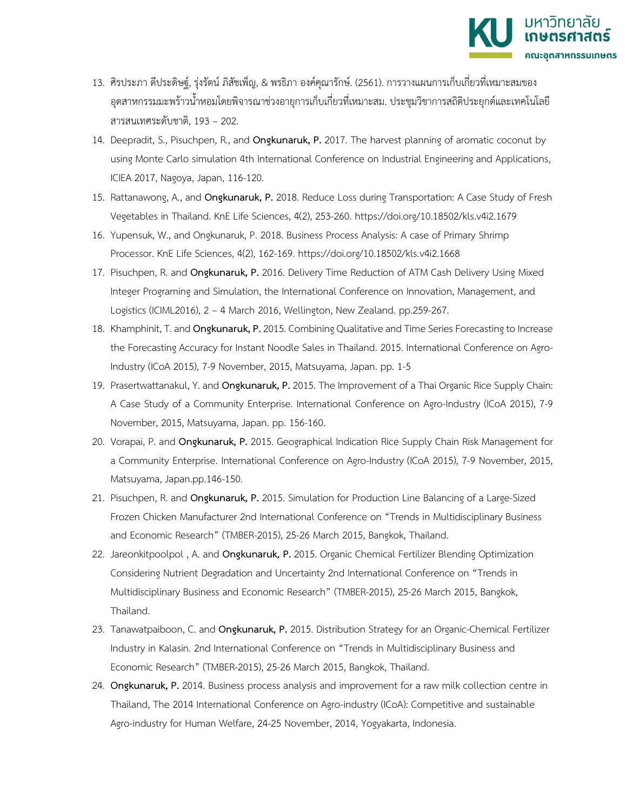

- 13. ศิรประภา ดีประดิษฐ์, รุ่งรัตน์ ภิสัชเพ็ญ, & พรธิภา องค์คุณารักษ์. (2561). การวางแผนการเก็บเกี่ยวที่เหมาะสมของ อุตสาหกรรมมะพร้าวน้ำหอมโดยพิจารณาช่วงอายุการเก็บเกี่ยวที่เหมาะสม. ประชุมวิชาการสถิติประยุกต์และเทคโนโลยี สารสนเทศระดับชาติ, 193 – 202.
- 14. Deepradit, S., Pisuchpen, R., and **Ongkunaruk, P.** 2017. The harvest planning of aromatic coconut by using Monte Carlo simulation 4th International Conference on Industrial Engineering and Applications, ICIEA 2017, Nagoya, Japan, 116-120.
- 15. Rattanawong, A., and **Ongkunaruk, P.** 2018. Reduce Loss during Transportation: A Case Study of Fresh Vegetables in Thailand. KnE Life Sciences, 4(2), 253-260. https://doi.org/10.18502/kls.v4i2.1679
- 16. Yupensuk, W., and Ongkunaruk, P. 2018. Business Process Analysis: A case of Primary Shrimp Processor. KnE Life Sciences, 4(2), 162-169.<https://doi.org/10.18502/kls.v4i2.1668>
- 17. Pisuchpen, R. and **Ongkunaruk, P.** 2016. Delivery Time Reduction of ATM Cash Delivery Using Mixed Integer Programing and Simulation, the International Conference on Innovation, Management, and Logistics (ICIML2016), 2 – 4 March 2016, Wellington, New Zealand. pp.259-267.
- 18. Khamphinit, T. and **Ongkunaruk, P.**2015. Combining Qualitative and Time Series Forecasting to Increase the Forecasting Accuracy for Instant Noodle Sales in Thailand. 2015. International Conference on Agro-Industry (ICoA 2015), 7-9 November, 2015, Matsuyama, Japan. pp. 1-5
- 19. Prasertwattanakul, Y. and **Ongkunaruk, P.** 2015. The Improvement of a Thai Organic Rice Supply Chain: A Case Study of a Community Enterprise. International Conference on Agro-Industry (ICoA 2015), 7-9 November, 2015, Matsuyama, Japan. pp. 156-160.
- 20. Vorapai, P. and **Ongkunaruk, P.** 2015. Geographical Indication Rice Supply Chain Risk Management for a Community Enterprise. International Conference on Agro-Industry (ICoA 2015), 7-9 November, 2015, Matsuyama, Japan.pp.146-150.
- 21. Pisuchpen, R. and **Ongkunaruk, P.** 2015. Simulation for Production Line Balancing of a Large-Sized Frozen Chicken Manufacturer 2nd International Conference on "Trends in Multidisciplinary Business and Economic Research" (TMBER-2015), 25-26 March 2015, Bangkok, Thailand.
- 22. Jareonkitpoolpol , A. and **Ongkunaruk, P.** 2015. Organic Chemical Fertilizer Blending Optimization Considering Nutrient Degradation and Uncertainty 2nd International Conference on "Trends in Multidisciplinary Business and Economic Research" (TMBER-2015), 25-26 March 2015, Bangkok, Thailand.
- 23. Tanawatpaiboon, C. and **Ongkunaruk, P.** 2015. Distribution Strategy for an Organic-Chemical Fertilizer Industry in Kalasin. 2nd International Conference on "Trends in Multidisciplinary Business and Economic Research" (TMBER-2015), 25-26 March 2015, Bangkok, Thailand.
- 24. **Ongkunaruk, P.** 2014. Business process analysis and improvement for a raw milk collection centre in Thailand, The 2014 International Conference on Agro-industry (ICoA): Competitive and sustainable Agro-industry for Human Welfare, 24-25 November, 2014, Yogyakarta, Indonesia.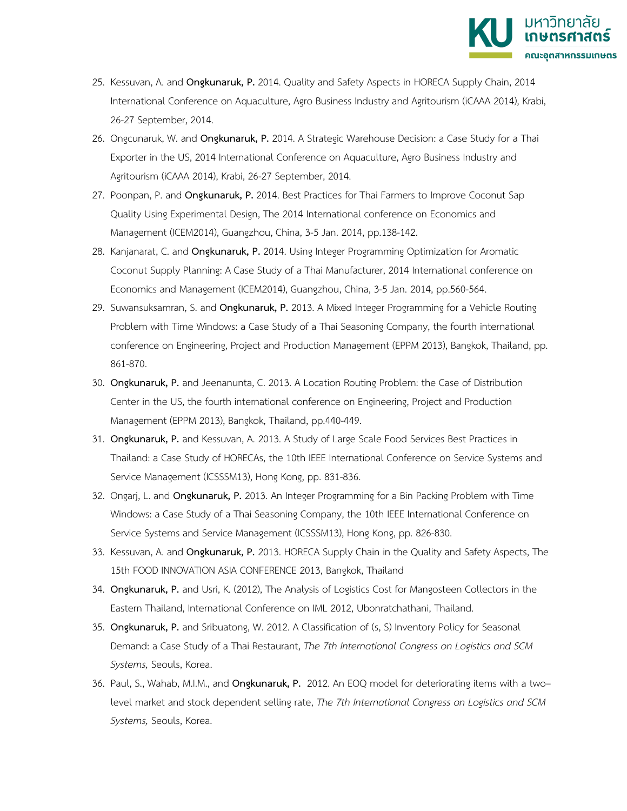

- 25. Kessuvan, A. and **Ongkunaruk, P.** 2014. Quality and Safety Aspects in HORECA Supply Chain, 2014 International Conference on Aquaculture, Agro Business Industry and Agritourism (iCAAA 2014), Krabi, 26-27 September, 2014.
- 26. Ongcunaruk, W. and **Ongkunaruk, P.** 2014. A Strategic Warehouse Decision: a Case Study for a Thai Exporter in the US, 2014 International Conference on Aquaculture, Agro Business Industry and Agritourism (iCAAA 2014), Krabi, 26-27 September, 2014.
- 27. Poonpan, P. and **Ongkunaruk, P.** 2014. Best Practices for Thai Farmers to Improve Coconut Sap Quality Using Experimental Design, The 2014 International conference on Economics and Management (ICEM2014), Guangzhou, China, 3-5 Jan. 2014, pp.138-142.
- 28. Kanjanarat, C. and **Ongkunaruk, P.** 2014. Using Integer Programming Optimization for Aromatic Coconut Supply Planning: A Case Study of a Thai Manufacturer, 2014 International conference on Economics and Management (ICEM2014), Guangzhou, China, 3-5 Jan. 2014, pp.560-564.
- 29. Suwansuksamran, S. and **Ongkunaruk, P.** 2013. A Mixed Integer Programming for a Vehicle Routing Problem with Time Windows: a Case Study of a Thai Seasoning Company, the fourth international conference on Engineering, Project and Production Management (EPPM 2013), Bangkok, Thailand, pp. 861-870.
- 30. **Ongkunaruk, P.** and Jeenanunta, C. 2013. A Location Routing Problem: the Case of Distribution Center in the US, the fourth international conference on Engineering, Project and Production Management (EPPM 2013), Bangkok, Thailand, pp.440-449.
- 31. **Ongkunaruk, P.** and Kessuvan, A. 2013. A Study of Large Scale Food Services Best Practices in Thailand: a Case Study of HORECAs, the 10th IEEE International Conference on Service Systems and Service Management (ICSSSM13), Hong Kong, pp. 831-836.
- 32. Ongarj, L. and **Ongkunaruk, P.** 2013. An Integer Programming for a Bin Packing Problem with Time Windows: a Case Study of a Thai Seasoning Company, the 10th IEEE International Conference on Service Systems and Service Management (ICSSSM13), Hong Kong, pp. 826-830.
- 33. Kessuvan, A. and **Ongkunaruk, P.** 2013. HORECA Supply Chain in the Quality and Safety Aspects, The 15th FOOD INNOVATION ASIA CONFERENCE 2013, Bangkok, Thailand
- 34. **Ongkunaruk, P.** and Usri, K. (2012), The Analysis of Logistics Cost for Mangosteen Collectors in the Eastern Thailand, International Conference on IML 2012, Ubonratchathani, Thailand.
- 35. **Ongkunaruk, P.** and Sribuatong, W. 2012. A Classification of (s, S) Inventory Policy for Seasonal Demand: a Case Study of a Thai Restaurant, *The 7th International Congress on Logistics and SCM Systems,* Seouls, Korea.
- 36. Paul, S., Wahab, M.I.M., and **Ongkunaruk, P.** 2012. An EOQ model for deteriorating items with a two– level market and stock dependent selling rate, *The 7th International Congress on Logistics and SCM Systems,* Seouls, Korea.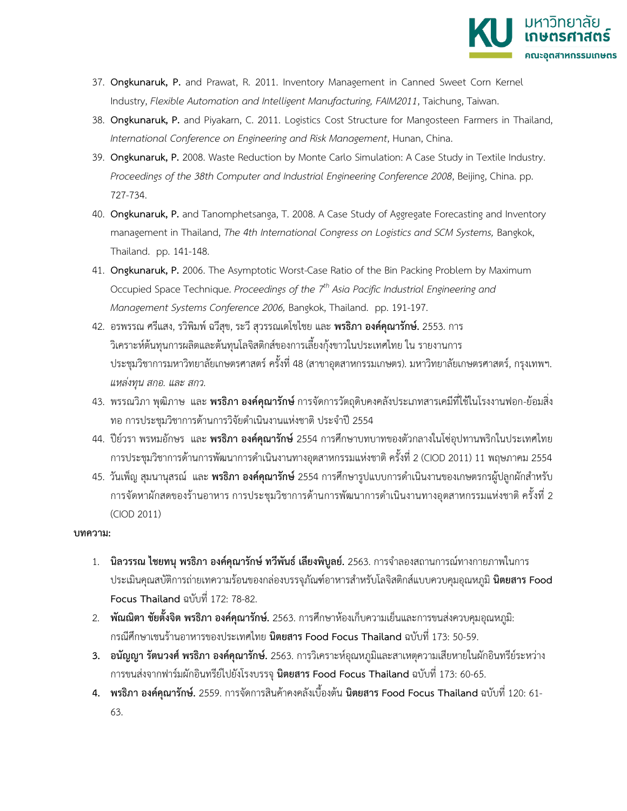

- 37. **Ongkunaruk, P.** and Prawat, R. 2011. Inventory Management in Canned Sweet Corn Kernel Industry, *Flexible Automation and Intelligent Manufacturing, FAIM2011*, Taichung, Taiwan.
- 38. **Ongkunaruk, P.** and Piyakarn, C. 2011. Logistics Cost Structure for Mangosteen Farmers in Thailand, *International Conference on Engineering and Risk Management*, Hunan, China.
- 39. **Ongkunaruk, P.** 2008. Waste Reduction by Monte Carlo Simulation: A Case Study in Textile Industry. *Proceedings of the 38th Computer and Industrial Engineering Conference 2008*, Beijing, China. pp. 727-734.
- 40. **Ongkunaruk, P.** and Tanomphetsanga, T. 2008. A Case Study of Aggregate Forecasting and Inventory management in Thailand, *The 4th International Congress on Logistics and SCM Systems*, Bangkok, Thailand. pp. 141-148.
- 41. **Ongkunaruk, P.** 2006. The Asymptotic Worst-Case Ratio of the Bin Packing Problem by Maximum Occupied Space Technique. *Proceedings of the 7th Asia Pacific Industrial Engineering and Management Systems Conference 2006,* Bangkok, Thailand. pp. 191-197.
- 42. อรพรรณ ศรีแสง, รวิพิมพ์ฉวีสุข, ระวี สุวรรณเดโชไชย และ **พรธิภา องค์คุณารักษ์.** 2553. การ วิเคราะห์ต้นทุนการผลิตและต้นทุนโลจิสติกส์ของการเลี้ยงกุ้งขาวในประเทศไทย ใน รายงานการ ประชุมวิชาการมหาวิทยาลัยเกษตรศาสตร์ครั้งที่ 48 (สาขาอุตสาหกรรมเกษตร). มหาวิทยาลัยเกษตรศาสตร์, กรุงเทพฯ. *แหล่งทุน สกอ. และ สกว.*
- 43. พรรณวิภา พุฒิภาษ และ **พรธิภา องค์คุณารักษ์**การจัดการวัตถุดิบคงคลังประเภทสารเคมีที่ใช้ในโรงงานฟอก-ย้อมสิ่ง ทอ การประชุมวิชาการด้านการวิจัยดำเนินงานแห่งชาติ ประจำปี 2554
- 44. ปีย์วรา พรหมอักษร และ **พรธิภา องค์คุณารักษ์**2554 การศึกษาบทบาทของตัวกลางในโซ่อุปทานพริกในประเทศไทย การประชุมวิชาการด้านการพัฒนาการดำเนินงานทางอุตสาหกรรมแห่งชาติ ครั้งที่ 2 (CIOD 2011) 11 พฤษภาคม 2554
- 45. วันเพ็ญ สุมนานุสรณ์ และ **พรธิภา องค์คุณารักษ์**2554 การศึกษารูปแบบการดำเนินงานของเกษตรกรผู้ปลูกผักสำหรับ การจัดหาผักสดของร้านอาหาร การประชุมวิชาการด้านการพัฒนาการดำเนินงานทางอุตสาหกรรมแห่งชาติ ครั้งที่ 2 (CIOD 2011)

#### **บทความ:**

- 1. **นิลวรรณ ไชยทนุ พรธิภา องค์คุณารักษ์ทวีพันธ์ เลียงพิบูลย์.** 2563. การจำลองสถานการณ์ทางกายภาพในการ ประเมินคุณสบัติการถ่ายเทความร้อนของกล่องบรรจุภัณฑ์อาหารสำหรับโลจิสติกส์แบบควบคุมอุณหภูมิ**นิตยสาร Food Focus Thailand** ฉบับที่ 172: 78-82.
- 2. **พัณณิตา ชัยตั้งจิต พรธิภา องค์คุณารักษ์.** 2563. การศึกษาห้องเก็บความเย็นและการขนส่งควบคุมอุณหภูมิ: กรณีศึกษาเชนร้านอาหารของประเทศไทย **นิตยสาร Food Focus Thailand** ฉบับที่ 173: 50-59.
- **3. อนัญญา รัตนวงศ์พรธิภา องค์คุณารักษ์.** 2563. การวิเคราะห์อุณหภูมิและสาเหตุความเสียหายในผักอินทรีย์ระหว่าง การขนส่งจากฟาร์มผักอินทรีย์ไปยังโรงบรรจุ **นิตยสาร Food Focus Thailand** ฉบับที่ 173: 60-65.
- **4. พรธิภา องค์คุณารักษ์.** 2559. การจัดการสินค้าคงคลังเบื้องต้น **นิตยสาร Food Focus Thailand** ฉบับที่ 120: 61- 63.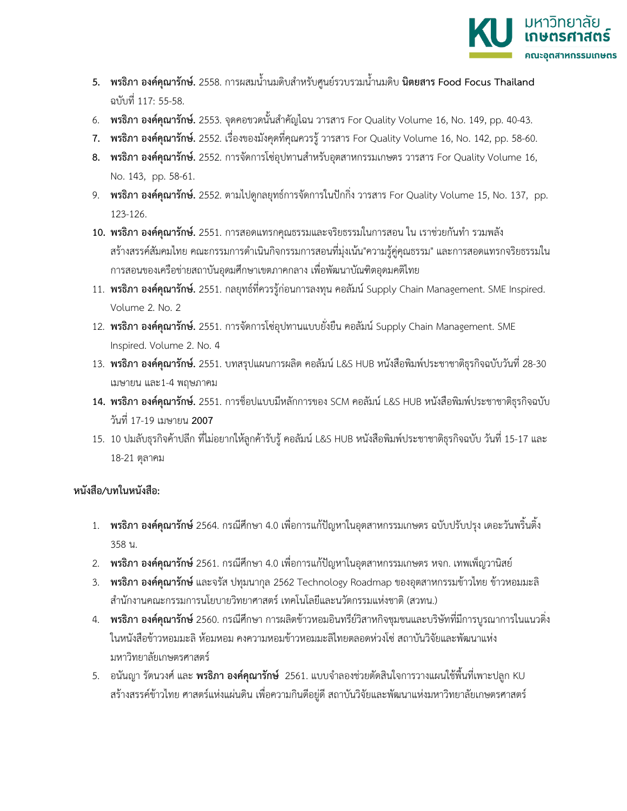

- **5. พรธิภา องค์คุณารักษ์.** 2558. การผสมน้ำนมดิบสำหรับศูนย์รวบรวมน้ำนมดิบ **นิตยสาร Food Focus Thailand** ฉบับที่ 117: 55-58.
- 6. **พรธิภา องค์คุณารักษ์.** 2553. จุดคอขวดนั้นสำคัญไฉน วารสาร For Quality Volume 16, No. 149, pp. 40-43.
- **7. พรธิภา องค์คุณารักษ์.** 2552. เรื่องของมังคุดที่คุณควรรู้วารสาร For Quality Volume 16, No. 142, pp. 58-60.
- **8. พรธิภา องค์คุณารักษ์.** 2552. การจัดการโซ่อุปทานสำหรับอุตสาหกรรมเกษตร วารสาร For Quality Volume 16, No. 143, pp. 58-61.
- 9. **พรธิภา องค์คุณารักษ์.** 2552. ตามไปดูกลยุทธ์การจัดการในปักกิ่ง วารสาร For Quality Volume 15, No. 137, pp. 123-126.
- **10. พรธิภา องค์คุณารักษ์.** 2551. การสอดแทรกคุณธรรมและจริยธรรมในการสอน ใน เราช่วยกันทำ รวมพลัง สร้างสรรค์สัมคมไทย คณะกรรมการดำเนินกิจกรรมการสอนที่มุ่งเน้น"ความรู้คู่คุณธรรม" และการสอดแทรกจริยธรรมใน การสอนของเครือข่ายสถาบันอุดมศึกษาเขตภาคกลาง เพื่อพัฒนาบัณฑิตอุดมคติไทย
- 11. **พรธิภา องค์คุณารักษ์.** 2551. กลยุทธ์ที่ควรรู้ก่อนการลงทุน คอลัมน์ Supply Chain Management. SME Inspired. Volume 2. No. 2
- 12. **พรธิภา องค์คุณารักษ์.** 2551. การจัดการโซ่อุปทานแบบยั่งยืน คอลัมน์ Supply Chain Management. SME Inspired. Volume 2. No. 4
- 13. **พรธิภา องค์คุณารักษ์.** 2551. บทสรุปแผนการผลิต คอลัมน์ L&S HUB หนังสือพิมพ์ประชาชาติธุรกิจฉบับวันที่ 28-30 เมษายน และ1-4 พฤษภาคม
- **14. พรธิภา องค์คุณารักษ์.** 2551. การช็อปแบบมีหลักการของ SCM คอลัมน์ L&S HUB หนังสือพิมพ์ประชาชาติธุรกิจฉบับ วันที่ 17-19 เมษายน **2007**
- 15. 10 ปมลับธุรกิจค้าปลีก ที่ไม่อยากให้ลูกค้ารับรู้คอลัมน์ L&S HUB หนังสือพิมพ์ประชาชาติธุรกิจฉบับ วันที่ 15-17 และ 18-21 ตุลาคม

#### **หนังสือ/บทในหนังสือ:**

- 1. **พรธิภา องค์คุณารักษ์**2564. กรณีศึกษา 4.0 เพื่อการแก้ปัญหาในอุตสาหกรรมเกษตร ฉบับปรับปรุง เดอะวันพริ้นติ้ง 358 น.
- 2. **พรธิภา องค์คุณารักษ์**2561. กรณีศึกษา 4.0 เพื่อการแก้ปัญหาในอุตสาหกรรมเกษตร หจก. เทพเพ็ญวานิสย์
- 3. **พรธิภา องค์คุณารักษ์**และจรัส ปทุมนากุล 2562 Technology Roadmap ของอุตสาหกรรมข้าวไทย ข้าวหอมมะลิ สำนักงานคณะกรรมการนโยบายวิทยาศาสตร์ เทคโนโลยีและนวัตกรรมแห่งชาติ (สวทน.)
- 4. **พรธิภา องค์คุณารักษ์**2560. กรณีศึกษา การผลิตข้าวหอมอินทรีย์วิสาหกิจชุมชนและบริษัทที่มีการบูรณาการในแนวดิ่ง ในหนังสือข้าวหอมมะลิ ห้อมหอม คงความหอมข้าวหอมมะลิไทยตลอดห่วงโซ่ สถาบันวิจัยและพัฒนาแห่ง มหาวิทยาลัยเกษตรศาสตร์
- 5. อนันญา รัตนวงศ์ และ **พรธิภา องค์คุณารักษ์** 2561. แบบจำลองช่วยตัดสินใจการวางแผนใช้พื้นที่เพาะปลูก KU สร้างสรรค์ข้าวไทย ศาสตร์แห่งแผ่นดิน เพื่อความกินดีอยู่ดี สถาบันวิจัยและพัฒนาแห่งมหาวิทยาลัยเกษตรศาสตร์